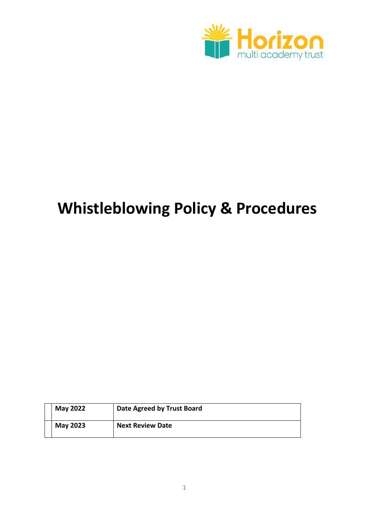

# **Whistleblowing Policy & Procedures**

| <b>May 2022</b> | Date Agreed by Trust Board |
|-----------------|----------------------------|
| <b>May 2023</b> | <b>Next Review Date</b>    |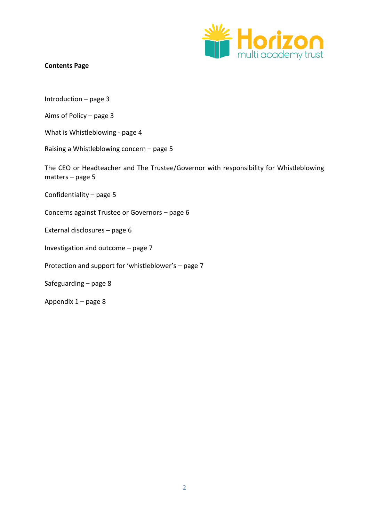

## **Contents Page**

Introduction – page 3

Aims of Policy – page 3

- What is Whistleblowing page 4
- Raising a Whistleblowing concern page 5

The CEO or Headteacher and The Trustee/Governor with responsibility for Whistleblowing matters – page 5

Confidentiality – page 5

Concerns against Trustee or Governors – page 6

External disclosures – page 6

Investigation and outcome – page 7

Protection and support for 'whistleblower's – page 7

Safeguarding – page 8

Appendix 1 – page 8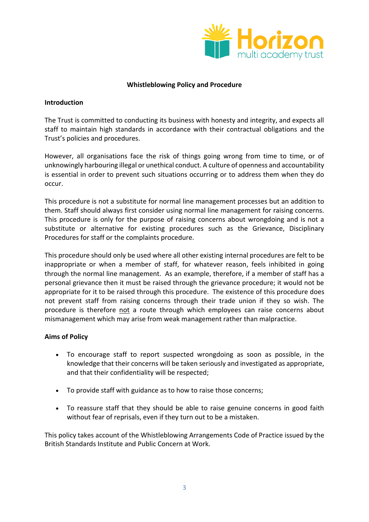

## **Whistleblowing Policy and Procedure**

### **Introduction**

The Trust is committed to conducting its business with honesty and integrity, and expects all staff to maintain high standards in accordance with their contractual obligations and the Trust's policies and procedures.

However, all organisations face the risk of things going wrong from time to time, or of unknowingly harbouring illegal or unethical conduct. A culture of openness and accountability is essential in order to prevent such situations occurring or to address them when they do occur.

This procedure is not a substitute for normal line management processes but an addition to them. Staff should always first consider using normal line management for raising concerns. This procedure is only for the purpose of raising concerns about wrongdoing and is not a substitute or alternative for existing procedures such as the Grievance, Disciplinary Procedures for staff or the complaints procedure.

This procedure should only be used where all other existing internal procedures are felt to be inappropriate or when a member of staff, for whatever reason, feels inhibited in going through the normal line management. As an example, therefore, if a member of staff has a personal grievance then it must be raised through the grievance procedure; it would not be appropriate for it to be raised through this procedure. The existence of this procedure does not prevent staff from raising concerns through their trade union if they so wish. The procedure is therefore not a route through which employees can raise concerns about mismanagement which may arise from weak management rather than malpractice.

### **Aims of Policy**

- To encourage staff to report suspected wrongdoing as soon as possible, in the knowledge that their concerns will be taken seriously and investigated as appropriate, and that their confidentiality will be respected;
- To provide staff with guidance as to how to raise those concerns;
- To reassure staff that they should be able to raise genuine concerns in good faith without fear of reprisals, even if they turn out to be a mistaken.

This policy takes account of the Whistleblowing Arrangements Code of Practice issued by the British Standards Institute and Public Concern at Work.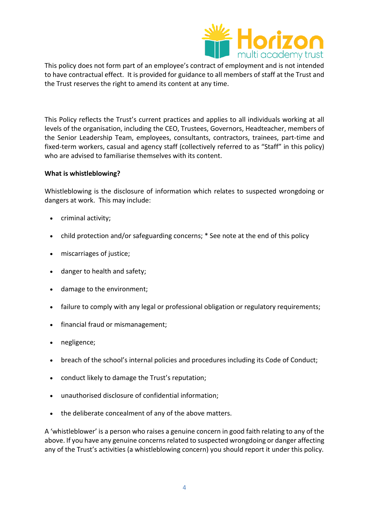

This policy does not form part of an employee's contract of employment and is not intended to have contractual effect. It is provided for guidance to all members of staff at the Trust and the Trust reserves the right to amend its content at any time.

This Policy reflects the Trust's current practices and applies to all individuals working at all levels of the organisation, including the CEO, Trustees, Governors, Headteacher, members of the Senior Leadership Team, employees, consultants, contractors, trainees, part-time and fixed-term workers, casual and agency staff (collectively referred to as "Staff" in this policy) who are advised to familiarise themselves with its content.

## **What is whistleblowing?**

Whistleblowing is the disclosure of information which relates to suspected wrongdoing or dangers at work. This may include:

- criminal activity;
- child protection and/or safeguarding concerns; \* See note at the end of this policy
- miscarriages of justice;
- danger to health and safety;
- damage to the environment;
- failure to comply with any legal or professional obligation or regulatory requirements;
- financial fraud or mismanagement;
- negligence;
- breach of the school's internal policies and procedures including its Code of Conduct;
- conduct likely to damage the Trust's reputation;
- unauthorised disclosure of confidential information;
- the deliberate concealment of any of the above matters.

A 'whistleblower' is a person who raises a genuine concern in good faith relating to any of the above. If you have any genuine concerns related to suspected wrongdoing or danger affecting any of the Trust's activities (a whistleblowing concern) you should report it under this policy.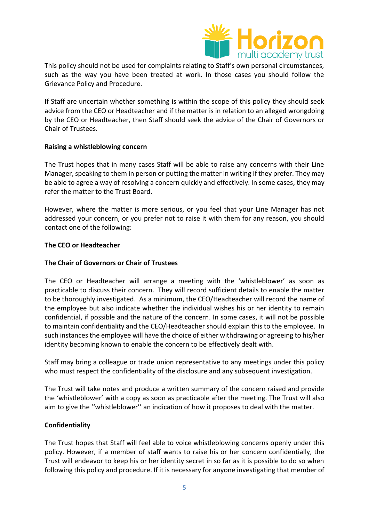

This policy should not be used for complaints relating to Staff's own personal circumstances, such as the way you have been treated at work. In those cases you should follow the Grievance Policy and Procedure.

If Staff are uncertain whether something is within the scope of this policy they should seek advice from the CEO or Headteacher and if the matter is in relation to an alleged wrongdoing by the CEO or Headteacher, then Staff should seek the advice of the Chair of Governors or Chair of Trustees.

### **Raising a whistleblowing concern**

The Trust hopes that in many cases Staff will be able to raise any concerns with their Line Manager, speaking to them in person or putting the matter in writing if they prefer. They may be able to agree a way of resolving a concern quickly and effectively. In some cases, they may refer the matter to the Trust Board.

However, where the matter is more serious, or you feel that your Line Manager has not addressed your concern, or you prefer not to raise it with them for any reason, you should contact one of the following:

## **The CEO or Headteacher**

## **The Chair of Governors or Chair of Trustees**

The CEO or Headteacher will arrange a meeting with the 'whistleblower' as soon as practicable to discuss their concern. They will record sufficient details to enable the matter to be thoroughly investigated. As a minimum, the CEO/Headteacher will record the name of the employee but also indicate whether the individual wishes his or her identity to remain confidential, if possible and the nature of the concern. In some cases, it will not be possible to maintain confidentiality and the CEO/Headteacher should explain this to the employee. In such instances the employee will have the choice of either withdrawing or agreeing to his/her identity becoming known to enable the concern to be effectively dealt with.

Staff may bring a colleague or trade union representative to any meetings under this policy who must respect the confidentiality of the disclosure and any subsequent investigation.

The Trust will take notes and produce a written summary of the concern raised and provide the 'whistleblower' with a copy as soon as practicable after the meeting. The Trust will also aim to give the ''whistleblower'' an indication of how it proposes to deal with the matter.

### **Confidentiality**

The Trust hopes that Staff will feel able to voice whistleblowing concerns openly under this policy. However, if a member of staff wants to raise his or her concern confidentially, the Trust will endeavor to keep his or her identity secret in so far as it is possible to do so when following this policy and procedure. If it is necessary for anyone investigating that member of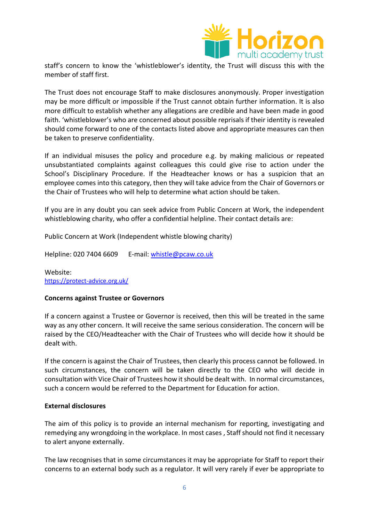

staff's concern to know the 'whistleblower's identity, the Trust will discuss this with the member of staff first.

The Trust does not encourage Staff to make disclosures anonymously. Proper investigation may be more difficult or impossible if the Trust cannot obtain further information. It is also more difficult to establish whether any allegations are credible and have been made in good faith. 'whistleblower's who are concerned about possible reprisals if their identity is revealed should come forward to one of the contacts listed above and appropriate measures can then be taken to preserve confidentiality.

If an individual misuses the policy and procedure e.g. by making malicious or repeated unsubstantiated complaints against colleagues this could give rise to action under the School's Disciplinary Procedure. If the Headteacher knows or has a suspicion that an employee comes into this category, then they will take advice from the Chair of Governors or the Chair of Trustees who will help to determine what action should be taken.

If you are in any doubt you can seek advice from Public Concern at Work, the independent whistleblowing charity, who offer a confidential helpline. Their contact details are:

Public Concern at Work (Independent whistle blowing charity)

Helpline: 020 7404 6609 E-mail: [whistle@pcaw.co.uk](mailto:whistle@pcaw.co.uk) 

Website: <https://protect-advice.org.uk/>

### **Concerns against Trustee or Governors**

If a concern against a Trustee or Governor is received, then this will be treated in the same way as any other concern. It will receive the same serious consideration. The concern will be raised by the CEO/Headteacher with the Chair of Trustees who will decide how it should be dealt with.

If the concern is against the Chair of Trustees, then clearly this process cannot be followed. In such circumstances, the concern will be taken directly to the CEO who will decide in consultation with Vice Chair of Trustees how it should be dealt with. In normal circumstances, such a concern would be referred to the Department for Education for action.

#### **External disclosures**

The aim of this policy is to provide an internal mechanism for reporting, investigating and remedying any wrongdoing in the workplace. In most cases , Staff should not find it necessary to alert anyone externally.

The law recognises that in some circumstances it may be appropriate for Staff to report their concerns to an external body such as a regulator. It will very rarely if ever be appropriate to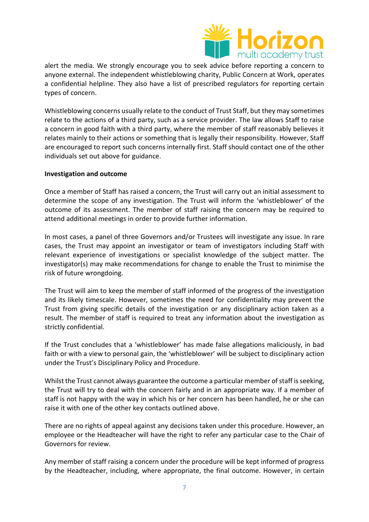

alert the media. We strongly encourage you to seek advice before reporting a concern to anyone external. The independent whistleblowing charity, Public Concern at Work, operates a confidential helpline. They also have a list of prescribed regulators for reporting certain types of concern.

Whistleblowing concerns usually relate to the conduct of Trust Staff, but they may sometimes relate to the actions of a third party, such as a service provider. The law allows Staff to raise a concern in good faith with a third party, where the member of staff reasonably believes it relates mainly to their actions or something that is legally their responsibility. However, Staff are encouraged to report such concerns internally first. Staff should contact one of the other individuals set out above for guidance.

### **Investigation and outcome**

Once a member of Staff has raised a concern, the Trust will carry out an initial assessment to determine the scope of any investigation. The Trust will inform the 'whistleblower' of the outcome of its assessment. The member of staff raising the concern may be required to attend additional meetings in order to provide further information.

In most cases, a panel of three Governors and/or Trustees will investigate any issue. In rare cases, the Trust may appoint an investigator or team of investigators including Staff with relevant experience of investigations or specialist knowledge of the subject matter. The investigator(s) may make recommendations for change to enable the Trust to minimise the risk of future wrongdoing.

The Trust will aim to keep the member of staff informed of the progress of the investigation and its likely timescale. However, sometimes the need for confidentiality may prevent the Trust from giving specific details of the investigation or any disciplinary action taken as a result. The member of staff is required to treat any information about the investigation as strictly confidential.

If the Trust concludes that a 'whistleblower' has made false allegations maliciously, in bad faith or with a view to personal gain, the 'whistleblower' will be subject to disciplinary action under the Trust's Disciplinary Policy and Procedure.

Whilst the Trust cannot always guarantee the outcome a particular member of staff is seeking, the Trust will try to deal with the concern fairly and in an appropriate way. If a member of staff is not happy with the way in which his or her concern has been handled, he or she can raise it with one of the other key contacts outlined above.

There are no rights of appeal against any decisions taken under this procedure. However, an employee or the Headteacher will have the right to refer any particular case to the Chair of Governors for review.

Any member of staff raising a concern under the procedure will be kept informed of progress by the Headteacher, including, where appropriate, the final outcome. However, in certain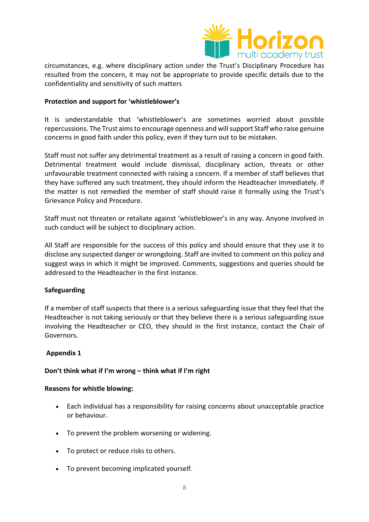

circumstances, e.g. where disciplinary action under the Trust's Disciplinary Procedure has resulted from the concern, it may not be appropriate to provide specific details due to the confidentiality and sensitivity of such matters

## **Protection and support for 'whistleblower's**

It is understandable that 'whistleblower's are sometimes worried about possible repercussions. The Trust aims to encourage openness and will support Staff who raise genuine concerns in good faith under this policy, even if they turn out to be mistaken.

Staff must not suffer any detrimental treatment as a result of raising a concern in good faith. Detrimental treatment would include dismissal, disciplinary action, threats or other unfavourable treatment connected with raising a concern. If a member of staff believes that they have suffered any such treatment, they should inform the Headteacher immediately. If the matter is not remedied the member of staff should raise it formally using the Trust's Grievance Policy and Procedure.

Staff must not threaten or retaliate against 'whistleblower's in any way. Anyone involved in such conduct will be subject to disciplinary action.

All Staff are responsible for the success of this policy and should ensure that they use it to disclose any suspected danger or wrongdoing. Staff are invited to comment on this policy and suggest ways in which it might be improved. Comments, suggestions and queries should be addressed to the Headteacher in the first instance.

### **Safeguarding**

If a member of staff suspects that there is a serious safeguarding issue that they feel that the Headteacher is not taking seriously or that they believe there is a serious safeguarding issue involving the Headteacher or CEO, they should in the first instance, contact the Chair of Governors.

### **Appendix 1**

### **Don't think what if I'm wrong – think what if I'm right**

### **Reasons for whistle blowing:**

- Each individual has a responsibility for raising concerns about unacceptable practice or behaviour.
- To prevent the problem worsening or widening.
- To protect or reduce risks to others.
- To prevent becoming implicated yourself.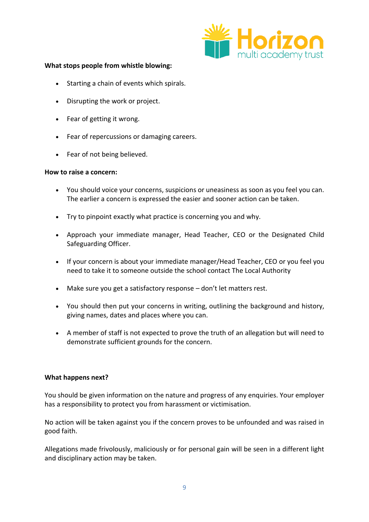

#### **What stops people from whistle blowing:**

- Starting a chain of events which spirals.
- Disrupting the work or project.
- Fear of getting it wrong.
- Fear of repercussions or damaging careers.
- Fear of not being believed.

#### **How to raise a concern:**

- You should voice your concerns, suspicions or uneasiness as soon as you feel you can. The earlier a concern is expressed the easier and sooner action can be taken.
- Try to pinpoint exactly what practice is concerning you and why.
- Approach your immediate manager, Head Teacher, CEO or the Designated Child Safeguarding Officer.
- If your concern is about your immediate manager/Head Teacher, CEO or you feel you need to take it to someone outside the school contact The Local Authority
- Make sure you get a satisfactory response don't let matters rest.
- You should then put your concerns in writing, outlining the background and history, giving names, dates and places where you can.
- A member of staff is not expected to prove the truth of an allegation but will need to demonstrate sufficient grounds for the concern.

### **What happens next?**

You should be given information on the nature and progress of any enquiries. Your employer has a responsibility to protect you from harassment or victimisation.

No action will be taken against you if the concern proves to be unfounded and was raised in good faith.

Allegations made frivolously, maliciously or for personal gain will be seen in a different light and disciplinary action may be taken.